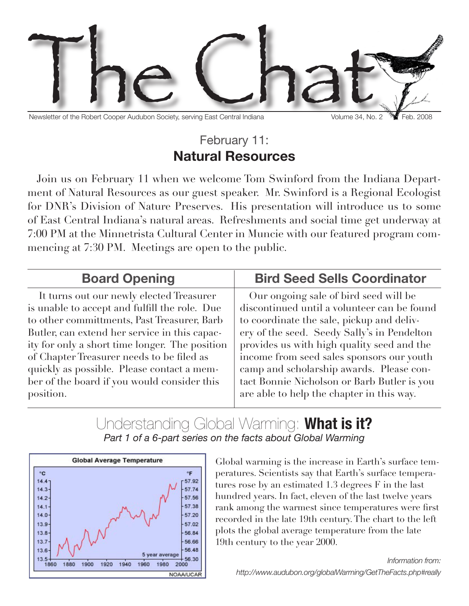

Newsletter of the Robert Cooper Audubon Society, serving East Central Indiana Volume 34, No. 2 Feb. 2008

### February 11: **Natural Resources**

Join us on February 11 when we welcome Tom Swinford from the Indiana Department of Natural Resources as our guest speaker. Mr. Swinford is a Regional Ecologist for DNR's Division of Nature Preserves. His presentation will introduce us to some of East Central Indiana's natural areas. Refreshments and social time get underway at 7:00 PM at the Minnetrista Cultural Center in Muncie with our featured program commencing at 7:30 PM. Meetings are open to the public.

#### **Board Opening** It turns out our newly elected Treasurer is unable to accept and fulfill the role. Due to other committments, Past Treasurer, Barb Butler, can extend her service in this capacity for only a short time longer. The position of Chapter Treasurer needs to be filed as quickly as possible. Please contact a member of the board if you would consider this position. **Bird Seed Sells Coordinator** Our ongoing sale of bird seed will be discontinued until a volunteer can be found to coordinate the sale, pickup and delivery of the seed. Seedy Sally's in Pendelton provides us with high quality seed and the income from seed sales sponsors our youth camp and scholarship awards. Please contact Bonnie Nicholson or Barb Butler is you are able to help the chapter in this way.

#### Understanding Global Warming: **What is it?** *Part 1 of a 6-part series on the facts about Global Warming*



Global warming is the increase in Earth's surface temperatures. Scientists say that Earth's surface temperatures rose by an estimated 1.3 degrees F in the last hundred years. In fact, eleven of the last twelve years rank among the warmest since temperatures were first recorded in the late 19th century. The chart to the left plots the global average temperature from the late 19th century to the year 2000.

*Information from: http://www.audubon.org/globalWarming/GetTheFacts.php#really*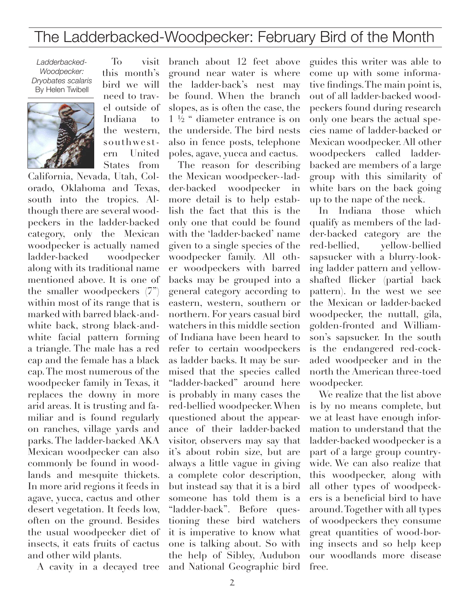# The Ladderbacked-Woodpecker: February Bird of the Month

*Ladderbacked-Woodpecker: Dryobates scalaris* By Helen Twibell



To visit this month's bird we will need to travel outside of Indiana to the western, southwestern United

States from California, Nevada, Utah, Colorado, Oklahoma and Texas, south into the tropics. Although there are several woodpeckers in the ladder-backed category, only the Mexican woodpecker is actually named ladder-backed woodpecker along with its traditional name mentioned above. It is one of the smaller woodpeckers (7") within most of its range that is marked with barred black-andwhite back, strong black-andwhite facial pattern forming a triangle. The male has a red cap and the female has a black cap. The most numerous of the woodpecker family in Texas, it replaces the downy in more arid areas. It is trusting and familiar and is found regularly on ranches, village yards and parks. The ladder-backed AKA Mexican woodpecker can also commonly be found in woodlands and mesquite thickets. In more arid regions it feeds in agave, yucca, cactus and other desert vegetation. It feeds low, often on the ground. Besides the usual woodpecker diet of insects, it eats fruits of cactus and other wild plants.

A cavity in a decayed tree

branch about 12 feet above ground near water is where the ladder-back's nest may be found. When the branch slopes, as is often the case, the 1 ½ " diameter entrance is on the underside. The bird nests also in fence posts, telephone poles, agave, yucca and cactus.

The reason for describing the Mexican woodpecker--ladder-backed woodpecker in more detail is to help establish the fact that this is the only one that could be found with the 'ladder-backed' name given to a single species of the woodpecker family. All other woodpeckers with barred backs may be grouped into a general category according to eastern, western, southern or northern. For years casual bird watchers in this middle section of Indiana have been heard to refer to certain woodpeckers as ladder backs. It may be surmised that the species called "ladder-backed" around here is probably in many cases the red-bellied woodpecker. When questioned about the appearance of their ladder-backed visitor, observers may say that it's about robin size, but are always a little vague in giving a complete color description, but instead say that it is a bird someone has told them is a "ladder-back". Before questioning these bird watchers it is imperative to know what one is talking about. So with the help of Sibley, Audubon and National Geographic bird

guides this writer was able to come up with some informative findings. The main point is, out of all ladder-backed woodpeckers found during research only one bears the actual species name of ladder-backed or Mexican woodpecker. All other woodpeckers called ladderbacked are members of a large group with this similarity of white bars on the back going up to the nape of the neck.

In Indiana those which qualify as members of the ladder-backed category are the red-bellied, yellow-bellied sapsucker with a blurry-looking ladder pattern and yellowshafted flicker (partial back pattern). In the west we see the Mexican or ladder-backed woodpecker, the nuttall, gila, golden-fronted and Williamson's sapsucker. In the south is the endangered red-cockaded woodpecker and in the north the American three-toed woodpecker.

We realize that the list above is by no means complete, but we at least have enough information to understand that the ladder-backed woodpecker is a part of a large group countrywide. We can also realize that this woodpecker, along with all other types of woodpeckers is a beneficial bird to have around. Together with all types of woodpeckers they consume great quantities of wood-boring insects and so help keep our woodlands more disease free.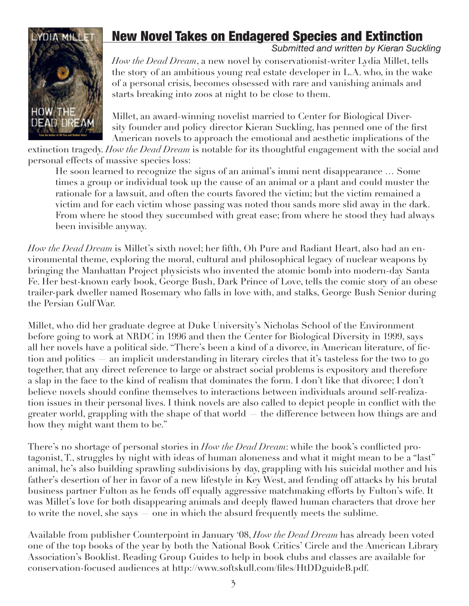# HOW THE **DEAD DREAM**

## **NOTA MILLET | New Novel Takes on Endagered Species and Extinction**

*Submitted and written by Kieran Suckling*

*How the Dead Dream*, a new novel by conservationist-writer Lydia Millet, tells the story of an ambitious young real estate developer in L.A. who, in the wake of a personal crisis, becomes obsessed with rare and vanishing animals and starts breaking into zoos at night to be close to them.

Millet, an award-winning novelist married to Center for Biological Diversity founder and policy director Kieran Suckling, has penned one of the first American novels to approach the emotional and aesthetic implications of the

extinction tragedy. *How the Dead Dream* is notable for its thoughtful engagement with the social and personal effects of massive species loss:

He soon learned to recognize the signs of an animal's immi nent disappearance … Some times a group or individual took up the cause of an animal or a plant and could muster the rationale for a lawsuit, and often the courts favored the victim; but the victim remained a victim and for each victim whose passing was noted thou sands more slid away in the dark. From where he stood they succumbed with great ease; from where he stood they had always been invisible anyway.

*How the Dead Dream* is Millet's sixth novel; her fifth, Oh Pure and Radiant Heart, also had an environmental theme, exploring the moral, cultural and philosophical legacy of nuclear weapons by bringing the Manhattan Project physicists who invented the atomic bomb into modern-day Santa Fe. Her best-known early book, George Bush, Dark Prince of Love, tells the comic story of an obese trailer-park dweller named Rosemary who falls in love with, and stalks, George Bush Senior during the Persian Gulf War.

Millet, who did her graduate degree at Duke University's Nicholas School of the Environment before going to work at NRDC in 1996 and then the Center for Biological Diversity in 1999, says all her novels have a political side. "There's been a kind of a divorce, in American literature, of fiction and politics — an implicit understanding in literary circles that it's tasteless for the two to go together, that any direct reference to large or abstract social problems is expository and therefore a slap in the face to the kind of realism that dominates the form. I don't like that divorce; I don't believe novels should confine themselves to interactions between individuals around self-realization issues in their personal lives. I think novels are also called to depict people in conflict with the greater world, grappling with the shape of that world — the difference between how things are and how they might want them to be."

There's no shortage of personal stories in *How the Dead Dream*: while the book's conflicted protagonist, T., struggles by night with ideas of human aloneness and what it might mean to be a "last" animal, he's also building sprawling subdivisions by day, grappling with his suicidal mother and his father's desertion of her in favor of a new lifestyle in Key West, and fending off attacks by his brutal business partner Fulton as he fends off equally aggressive matchmaking efforts by Fulton's wife. It was Millet's love for both disappearing animals and deeply flawed human characters that drove her to write the novel, she says — one in which the absurd frequently meets the sublime.

Available from publisher Counterpoint in January '08, *How the Dead Dream* has already been voted one of the top books of the year by both the National Book Critics' Circle and the American Library Association's Booklist. Reading Group Guides to help in book clubs and classes are available for conservation-focused audiences at http://www.softskull.com/files/HtDDguideB.pdf.